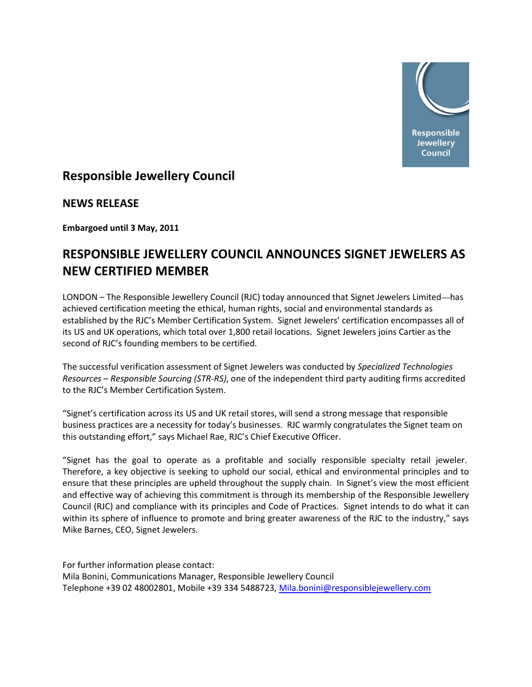

## **Responsible Jewellery Council**

**NEWS RELEASE** 

**Embargoed until 3 May, 2011**

# **RESPONSIBLE JEWELLERY COUNCIL ANNOUNCES SIGNET JEWELERS AS NEW CERTIFIED MEMBER**

LONDON – The Responsible Jewellery Council (RJC) today announced that Signet Jewelers Limited—has achieved certification meeting the ethical, human rights, social and environmental standards as established by the RJC's Member Certification System. Signet Jewelers' certification encompasses all of its US and UK operations, which total over 1,800 retail locations. Signet Jewelers joins Cartier as the second of RJC's founding members to be certified.

The successful verification assessment of Signet Jewelers was conducted by *Specialized Technologies Resources – Responsible Sourcing (STR‐RS)*, one of the independent third party auditing firms accredited to the RJC's Member Certification System.

"Signet's certification across its US and UK retail stores, will send a strong message that responsible business practices are a necessity for today's businesses. RJC warmly congratulates the Signet team on this outstanding effort," says Michael Rae, RJC's Chief Executive Officer.

"Signet has the goal to operate as a profitable and socially responsible specialty retail jeweler. Therefore, a key objective is seeking to uphold our social, ethical and environmental principles and to ensure that these principles are upheld throughout the supply chain. In Signet's view the most efficient and effective way of achieving this commitment is through its membership of the Responsible Jewellery Council (RJC) and compliance with its principles and Code of Practices. Signet intends to do what it can within its sphere of influence to promote and bring greater awareness of the RJC to the industry," says Mike Barnes, CEO, Signet Jewelers.

For further information please contact:

Mila Bonini, Communications Manager, Responsible Jewellery Council Telephone +39 02 48002801, Mobile +39 334 5488723, [Mila.bonini@responsiblejewellery.com](mailto:Mila.bonini@responsiblejewellery.com)